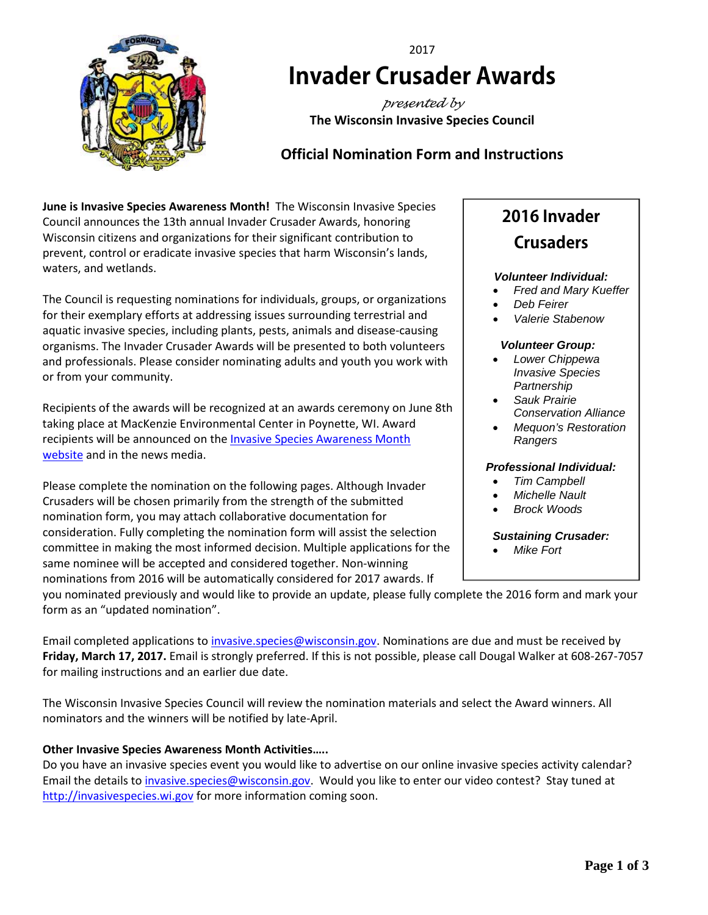

# 2017 **Invader Crusader Awards**

*presented by* **The Wisconsin Invasive Species Council**

# **Official Nomination Form and Instructions**

**June is Invasive Species Awareness Month!** The Wisconsin Invasive Species Council announces the 13th annual Invader Crusader Awards, honoring Wisconsin citizens and organizations for their significant contribution to prevent, control or eradicate invasive species that harm Wisconsin's lands, waters, and wetlands.

The Council is requesting nominations for individuals, groups, or organizations for their exemplary efforts at addressing issues surrounding terrestrial and aquatic invasive species, including plants, pests, animals and disease-causing organisms. The Invader Crusader Awards will be presented to both volunteers and professionals. Please consider nominating adults and youth you work with or from your community.

Recipients of the awards will be recognized at an awards ceremony on June 8th taking place at MacKenzie Environmental Center in Poynette, WI. Award recipients will be announced on the [Invasive Species Awareness Month](http://invasivespecies.wi.gov/awareness-month/awards/)  [website](http://invasivespecies.wi.gov/awareness-month/awards/) and in the news media.

Please complete the nomination on the following pages. Although Invader Crusaders will be chosen primarily from the strength of the submitted nomination form, you may attach collaborative documentation for consideration. Fully completing the nomination form will assist the selection committee in making the most informed decision. Multiple applications for the same nominee will be accepted and considered together. Non-winning nominations from 2016 will be automatically considered for 2017 awards. If

# **2016 Invader Crusaders**

#### *Volunteer Individual:*

- *Fred and Mary Kueffer*
- *Deb Feirer*
- *Valerie Stabenow*

#### *Volunteer Group:*

- *Lower Chippewa Invasive Species Partnership*
- *Sauk Prairie Conservation Alliance*
- *Mequon's Restoration Rangers*

### *Professional Individual:*

- *Tim Campbell*
- *Michelle Nault*
- *Brock Woods*

#### *Sustaining Crusader:*

• *Mike Fort*

you nominated previously and would like to provide an update, please fully complete the 2016 form and mark your form as an "updated nomination".

Email completed applications t[o invasive.species@wisconsin.gov.](mailto:invasive.species@wisconsin.gov) Nominations are due and must be received by **Friday, March 17, 2017.** Email is strongly preferred. If this is not possible, please call Dougal Walker at 608-267-7057 for mailing instructions and an earlier due date.

The Wisconsin Invasive Species Council will review the nomination materials and select the Award winners. All nominators and the winners will be notified by late-April.

### **Other Invasive Species Awareness Month Activities…..**

Do you have an invasive species event you would like to advertise on our online invasive species activity calendar? Email the details to *invasive.species@wisconsin.gov*. Would you like to enter our video contest? Stay tuned at [http://invasivespecies.wi.gov](http://invasivespecies.wi.gov/) for more information coming soon.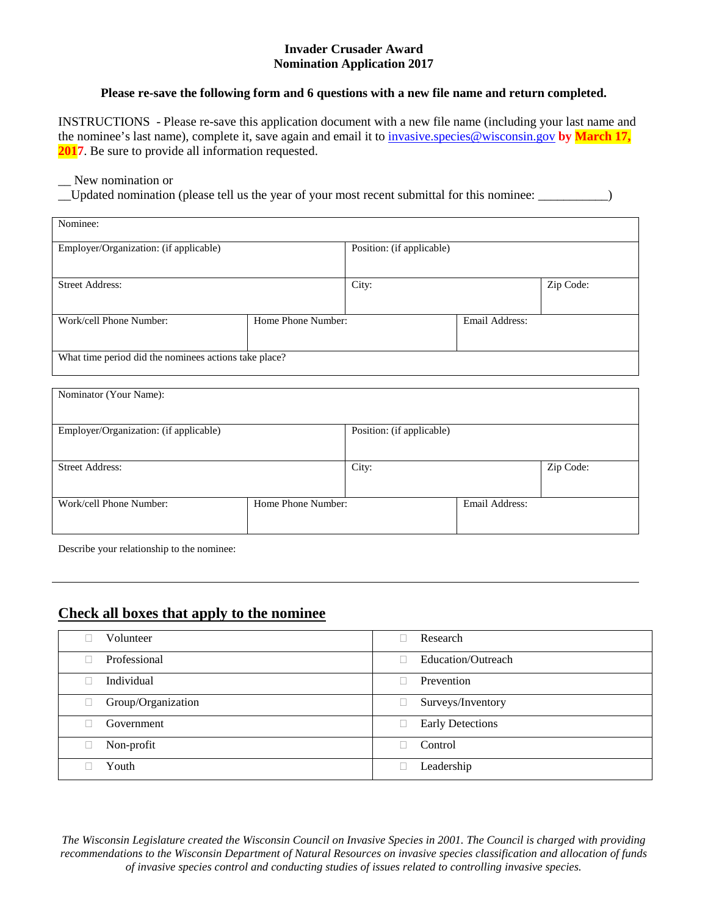#### **Invader Crusader Award Nomination Application 2017**

#### **Please re-save the following form and 6 questions with a new file name and return completed.**

INSTRUCTIONS - Please re-save this application document with a new file name (including your last name and the nominee's last name), complete it, save again and email it t[o invasive.species@wisconsin.gov](mailto:invasive.species@wisconsin.gov) **by March 17, 2017**. Be sure to provide all information requested.

#### New nomination or

\_\_Updated nomination (please tell us the year of your most recent submittal for this nominee: \_\_\_\_\_\_\_\_\_\_\_)

|                                                       | Position: (if applicable) |                |  |  |  |
|-------------------------------------------------------|---------------------------|----------------|--|--|--|
|                                                       |                           |                |  |  |  |
| <b>Street Address:</b>                                |                           | City:          |  |  |  |
|                                                       |                           |                |  |  |  |
| Home Phone Number:                                    |                           | Email Address: |  |  |  |
|                                                       |                           |                |  |  |  |
| What time period did the nominees actions take place? |                           |                |  |  |  |
|                                                       |                           |                |  |  |  |

| Nominator (Your Name):                 |                    |                           |                |           |
|----------------------------------------|--------------------|---------------------------|----------------|-----------|
| Employer/Organization: (if applicable) |                    | Position: (if applicable) |                |           |
| <b>Street Address:</b>                 |                    | City:                     |                | Zip Code: |
| Work/cell Phone Number:                | Home Phone Number: |                           | Email Address: |           |

Describe your relationship to the nominee:

# **Check all boxes that apply to the nominee**

| Volunteer          | Research                |
|--------------------|-------------------------|
| Professional       | Education/Outreach      |
| Individual         | Prevention              |
| Group/Organization | Surveys/Inventory       |
| Government         | <b>Early Detections</b> |
| Non-profit         | Control                 |
| Youth              | Leadership              |

*The Wisconsin Legislature created the Wisconsin Council on Invasive Species in 2001. The Council is charged with providing recommendations to the Wisconsin Department of Natural Resources on invasive species classification and allocation of funds of invasive species control and conducting studies of issues related to controlling invasive species.*